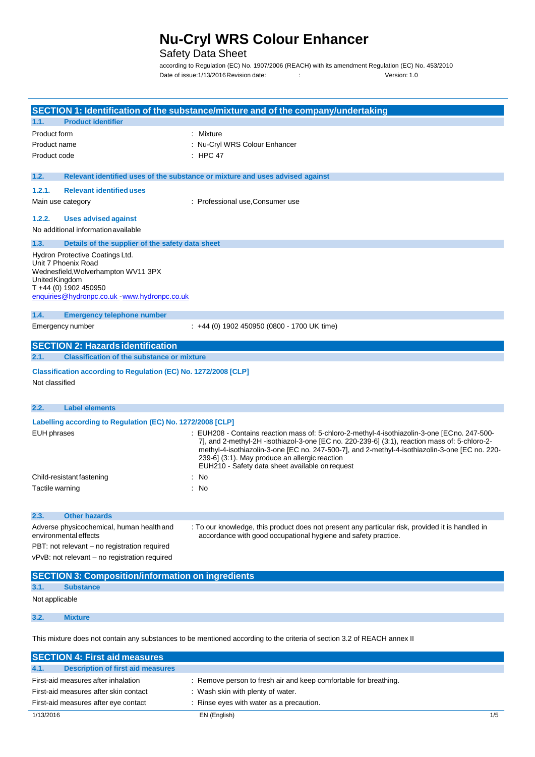## **Nu-Cryl WRS Colour Enhancer**

## Safety Data Sheet

according to Regulation (EC) No. 1907/2006 (REACH) with its amendment Regulation (EC) No. 453/2010 Date of issue:1/13/2016 Revision date: <br>
Version: 1.0

| SECTION 1: Identification of the substance/mixture and of the company/undertaking                                                                                                            |                                                                                                                                                                                                                                                                                                                                                                                                      |
|----------------------------------------------------------------------------------------------------------------------------------------------------------------------------------------------|------------------------------------------------------------------------------------------------------------------------------------------------------------------------------------------------------------------------------------------------------------------------------------------------------------------------------------------------------------------------------------------------------|
| <b>Product identifier</b><br>1.1.                                                                                                                                                            |                                                                                                                                                                                                                                                                                                                                                                                                      |
| Product form                                                                                                                                                                                 | : Mixture                                                                                                                                                                                                                                                                                                                                                                                            |
| Product name                                                                                                                                                                                 | : Nu-Cryl WRS Colour Enhancer                                                                                                                                                                                                                                                                                                                                                                        |
| Product code                                                                                                                                                                                 | : HPC 47                                                                                                                                                                                                                                                                                                                                                                                             |
| 1.2.                                                                                                                                                                                         | Relevant identified uses of the substance or mixture and uses advised against                                                                                                                                                                                                                                                                                                                        |
| 1.2.1.<br><b>Relevant identified uses</b>                                                                                                                                                    |                                                                                                                                                                                                                                                                                                                                                                                                      |
| Main use category                                                                                                                                                                            | : Professional use, Consumer use                                                                                                                                                                                                                                                                                                                                                                     |
| 1.2.2.<br><b>Uses advised against</b>                                                                                                                                                        |                                                                                                                                                                                                                                                                                                                                                                                                      |
| No additional information available                                                                                                                                                          |                                                                                                                                                                                                                                                                                                                                                                                                      |
| 1.3.<br>Details of the supplier of the safety data sheet                                                                                                                                     |                                                                                                                                                                                                                                                                                                                                                                                                      |
| Hydron Protective Coatings Ltd.<br>Unit 7 Phoenix Road<br>Wednesfield, Wolverhampton WV11 3PX<br>United Kingdom<br>$T + 44$ (0) 1902 450950<br>enquiries@hydronpc.co.uk - www.hydronpc.co.uk |                                                                                                                                                                                                                                                                                                                                                                                                      |
| 1.4.<br><b>Emergency telephone number</b>                                                                                                                                                    |                                                                                                                                                                                                                                                                                                                                                                                                      |
| Emergency number                                                                                                                                                                             | : +44 (0) 1902 450950 (0800 - 1700 UK time)                                                                                                                                                                                                                                                                                                                                                          |
| <b>SECTION 2: Hazards identification</b>                                                                                                                                                     |                                                                                                                                                                                                                                                                                                                                                                                                      |
| <b>Classification of the substance or mixture</b><br>2.1.                                                                                                                                    |                                                                                                                                                                                                                                                                                                                                                                                                      |
| Classification according to Regulation (EC) No. 1272/2008 [CLP]<br>Not classified                                                                                                            |                                                                                                                                                                                                                                                                                                                                                                                                      |
| 2.2.<br><b>Label elements</b>                                                                                                                                                                |                                                                                                                                                                                                                                                                                                                                                                                                      |
| Labelling according to Regulation (EC) No. 1272/2008 [CLP]                                                                                                                                   |                                                                                                                                                                                                                                                                                                                                                                                                      |
| EUH phrases                                                                                                                                                                                  | : EUH208 - Contains reaction mass of: 5-chloro-2-methyl-4-isothiazolin-3-one [ECno. 247-500-<br>7], and 2-methyl-2H -isothiazol-3-one [EC no. 220-239-6] (3:1), reaction mass of: 5-chloro-2-<br>methyl-4-isothiazolin-3-one [EC no. 247-500-7], and 2-methyl-4-isothiazolin-3-one [EC no. 220-<br>239-6] (3:1). May produce an allergic reaction<br>EUH210 - Safety data sheet available on request |
| Child-resistant fastening                                                                                                                                                                    | No                                                                                                                                                                                                                                                                                                                                                                                                   |
| Tactile warning                                                                                                                                                                              | No                                                                                                                                                                                                                                                                                                                                                                                                   |
| <b>Other hazards</b><br>2.3.                                                                                                                                                                 |                                                                                                                                                                                                                                                                                                                                                                                                      |
| Adverse physicochemical, human health and                                                                                                                                                    | : To our knowledge, this product does not present any particular risk, provided it is handled in                                                                                                                                                                                                                                                                                                     |
| environmental effects                                                                                                                                                                        | accordance with good occupational hygiene and safety practice.                                                                                                                                                                                                                                                                                                                                       |
| PBT: not relevant - no registration required                                                                                                                                                 |                                                                                                                                                                                                                                                                                                                                                                                                      |
| vPvB: not relevant - no registration required                                                                                                                                                |                                                                                                                                                                                                                                                                                                                                                                                                      |
| <b>SECTION 3: Composition/information on ingredients</b>                                                                                                                                     |                                                                                                                                                                                                                                                                                                                                                                                                      |
| 3.1.<br><b>Substance</b>                                                                                                                                                                     |                                                                                                                                                                                                                                                                                                                                                                                                      |
| Not applicable                                                                                                                                                                               |                                                                                                                                                                                                                                                                                                                                                                                                      |
| 3.2.<br><b>Mixture</b>                                                                                                                                                                       |                                                                                                                                                                                                                                                                                                                                                                                                      |

This mixture does not contain any substances to be mentioned according to the criteria of section 3.2 of REACH annex II

**SECTION 4: First aid measures**

| <b>Description of first aid measures</b><br>4.1. |                                                                  |     |
|--------------------------------------------------|------------------------------------------------------------------|-----|
| First-aid measures after inhalation              | : Remove person to fresh air and keep comfortable for breathing. |     |
| First-aid measures after skin contact            | : Wash skin with plenty of water.                                |     |
| First-aid measures after eye contact             | : Rinse eyes with water as a precaution.                         |     |
| 1/13/2016                                        | EN (English)                                                     | 1/5 |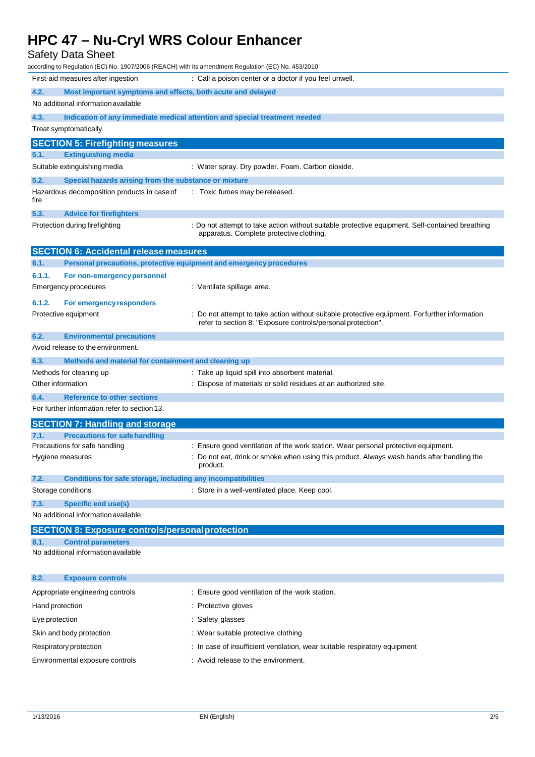Safety Data Sheet

| according to Regulation (EC) No. 1907/2006 (REACH) with its amendment Regulation (EC) No. 453/2010 |                                                                                                 |
|----------------------------------------------------------------------------------------------------|-------------------------------------------------------------------------------------------------|
| First-aid measures after ingestion                                                                 | : Call a poison center or a doctor if you feel unwell.                                          |
| 4.2.<br>Most important symptoms and effects, both acute and delayed                                |                                                                                                 |
| No additional information available                                                                |                                                                                                 |
| 4.3.                                                                                               | Indication of any immediate medical attention and special treatment needed                      |
| Treat symptomatically.                                                                             |                                                                                                 |
| <b>SECTION 5: Firefighting measures</b>                                                            |                                                                                                 |
| 5.1.<br><b>Extinguishing media</b>                                                                 |                                                                                                 |
| Suitable extinguishing media                                                                       | : Water spray. Dry powder. Foam. Carbon dioxide.                                                |
| 5.2.<br>Special hazards arising from the substance or mixture                                      |                                                                                                 |
| Hazardous decomposition products in case of<br>fire                                                | : Toxic fumes may be released.                                                                  |
| 5.3.<br><b>Advice for firefighters</b>                                                             |                                                                                                 |
| Protection during firefighting                                                                     | : Do not attempt to take action without suitable protective equipment. Self-contained breathing |
|                                                                                                    | apparatus. Complete protective clothing.                                                        |
| <b>SECTION 6: Accidental release measures</b>                                                      |                                                                                                 |
| Personal precautions, protective equipment and emergency procedures<br>6.1.                        |                                                                                                 |
| 6.1.1.<br>For non-emergency personnel                                                              |                                                                                                 |
| Emergency procedures                                                                               | : Ventilate spillage area.                                                                      |
| 6.1.2.<br>For emergency responders                                                                 |                                                                                                 |
| Protective equipment                                                                               | : Do not attempt to take action without suitable protective equipment. For further information  |
|                                                                                                    | refer to section 8: "Exposure controls/personal protection".                                    |
| 6.2.<br><b>Environmental precautions</b>                                                           |                                                                                                 |
| Avoid release to the environment.                                                                  |                                                                                                 |
| 6.3.<br>Methods and material for containment and cleaning up<br>Methods for cleaning up            | : Take up liquid spill into absorbent material.                                                 |
| Other information                                                                                  | : Dispose of materials or solid residues at an authorized site.                                 |
| 6.4.<br><b>Reference to other sections</b>                                                         |                                                                                                 |
| For further information refer to section 13.                                                       |                                                                                                 |
| <b>SECTION 7: Handling and storage</b>                                                             |                                                                                                 |
| <b>Precautions for safe handling</b><br>7.1.                                                       |                                                                                                 |
| Precautions for safe handling                                                                      | : Ensure good ventilation of the work station. Wear personal protective equipment.              |
| Hygiene measures                                                                                   | : Do not eat, drink or smoke when using this product. Always wash hands after handling the      |
|                                                                                                    | product.                                                                                        |
| 7.2.<br>Conditions for safe storage, including any incompatibilities<br>Storage conditions         | : Store in a well-ventilated place. Keep cool.                                                  |
|                                                                                                    |                                                                                                 |
| <b>Specific end use(s)</b><br>7.3.<br>No additional information available                          |                                                                                                 |
|                                                                                                    |                                                                                                 |
| <b>SECTION 8: Exposure controls/personal protection</b><br><b>Control parameters</b><br>8.1.       |                                                                                                 |
| No additional information available                                                                |                                                                                                 |
|                                                                                                    |                                                                                                 |
| 8.2.<br><b>Exposure controls</b>                                                                   |                                                                                                 |
| Appropriate engineering controls                                                                   | : Ensure good ventilation of the work station.                                                  |
| Hand protection                                                                                    | : Protective gloves                                                                             |
| Eye protection                                                                                     | : Safety glasses                                                                                |
| Skin and body protection                                                                           | : Wear suitable protective clothing                                                             |
| Respiratory protection                                                                             | : In case of insufficient ventilation, wear suitable respiratory equipment                      |
| Environmental exposure controls                                                                    | : Avoid release to the environment.                                                             |
|                                                                                                    |                                                                                                 |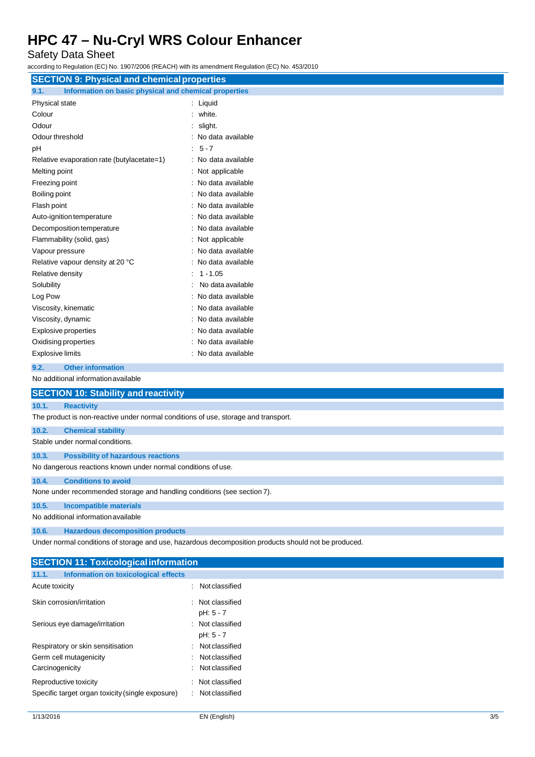Safety Data Sheet

according to Regulation (EC) No. 1907/2006 (REACH) with its amendment Regulation (EC) No. 453/2010

| $1000$ and $1000$ and $1000$ and $1000$ and $1000$ and $1000$ and $1000$ and $1000$ and $1000$                      |                     |  |
|---------------------------------------------------------------------------------------------------------------------|---------------------|--|
| <b>SECTION 9: Physical and chemical properties</b><br>Information on basic physical and chemical properties<br>9.1. |                     |  |
| Physical state                                                                                                      | : Liquid            |  |
| Colour                                                                                                              | white.              |  |
| Odour                                                                                                               | slight.             |  |
| Odour threshold                                                                                                     | : No data available |  |
| pH                                                                                                                  | $5 - 7$             |  |
| Relative evaporation rate (butylacetate=1)                                                                          | : No data available |  |
| Melting point                                                                                                       | : Not applicable    |  |
| Freezing point                                                                                                      | : No data available |  |
| Boiling point                                                                                                       | : No data available |  |
| Flash point                                                                                                         | : No data available |  |
| Auto-ignition temperature                                                                                           | : No data available |  |
| Decomposition temperature                                                                                           | : No data available |  |
| Flammability (solid, gas)                                                                                           | : Not applicable    |  |
| Vapour pressure                                                                                                     | : No data available |  |
| Relative vapour density at 20 °C                                                                                    | : No data available |  |
| Relative density                                                                                                    | $1 - 1.05$          |  |
| Solubility                                                                                                          | No data available   |  |
| Log Pow                                                                                                             | No data available   |  |
| Viscosity, kinematic                                                                                                | : No data available |  |
| Viscosity, dynamic                                                                                                  | : No data available |  |
| Explosive properties                                                                                                | No data available   |  |
| Oxidising properties                                                                                                | : No data available |  |
| Explosive limits                                                                                                    | : No data available |  |
| <b>Other information</b><br>9.2.                                                                                    |                     |  |
| No additional information available                                                                                 |                     |  |
| <b>SECTION 10: Stability and reactivity</b>                                                                         |                     |  |
| 10.1.<br><b>Reactivity</b>                                                                                          |                     |  |
| The product is non-reactive under normal conditions of use, storage and transport.                                  |                     |  |
| 10.2.<br><b>Chemical stability</b>                                                                                  |                     |  |
| Stable under normal conditions.                                                                                     |                     |  |
| 10.3.<br><b>Possibility of hazardous reactions</b>                                                                  |                     |  |
| No dangerous reactions known under normal conditions of use.                                                        |                     |  |
| 10.4.<br><b>Conditions to avoid</b>                                                                                 |                     |  |

None under recommended storage and handling conditions (see section 7).

**10.5. Incompatible materials**

No additional informationavailable

**10.6. Hazardous decomposition products**

Under normal conditions of storage and use, hazardous decomposition products should not be produced.

| <b>SECTION 11: Toxicological information</b>                              |                                       |
|---------------------------------------------------------------------------|---------------------------------------|
| 11.1.<br>Information on toxicological effects                             |                                       |
| Acute toxicity                                                            | Not classified<br>$\bullet$           |
| Skin corrosion/irritation                                                 | : Not classified<br>pH: 5 - 7         |
| Serious eye damage/irritation                                             | Not classified<br>÷<br>pH: 5 - 7      |
| Respiratory or skin sensitisation                                         | Not classified<br>÷                   |
| Germ cell mutagenicity                                                    | Not classified<br>$\bullet$           |
| Carcinogenicity                                                           | Not classified<br>$\bullet$           |
| Reproductive toxicity<br>Specific target organ toxicity (single exposure) | Not classified<br>Not classified<br>÷ |
|                                                                           |                                       |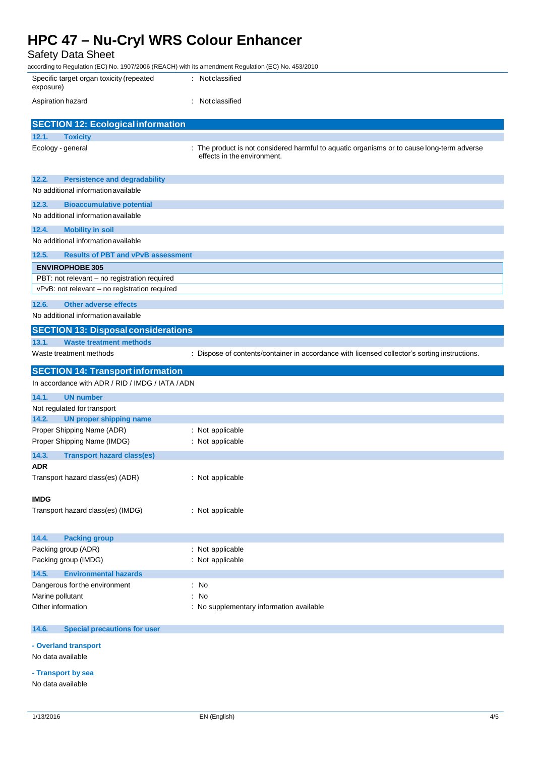### Safety Data Sheet

| according to Regulation (EC) No. 1907/2006 (REACH) with its amendment Regulation (EC) No. 453/2010 |                                                                                                                           |
|----------------------------------------------------------------------------------------------------|---------------------------------------------------------------------------------------------------------------------------|
| Specific target organ toxicity (repeated<br>exposure)                                              | : Not classified                                                                                                          |
| Aspiration hazard                                                                                  | : Not classified                                                                                                          |
| <b>SECTION 12: Ecological information</b>                                                          |                                                                                                                           |
| 12.1.<br><b>Toxicity</b>                                                                           |                                                                                                                           |
| Ecology - general                                                                                  | : The product is not considered harmful to aquatic organisms or to cause long-term adverse<br>effects in the environment. |
| 12.2.<br><b>Persistence and degradability</b>                                                      |                                                                                                                           |
| No additional information available                                                                |                                                                                                                           |
| 12.3.<br><b>Bioaccumulative potential</b>                                                          |                                                                                                                           |
| No additional information available                                                                |                                                                                                                           |
| 12.4.<br><b>Mobility in soil</b>                                                                   |                                                                                                                           |
| No additional information available                                                                |                                                                                                                           |
| 12.5.<br><b>Results of PBT and vPvB assessment</b>                                                 |                                                                                                                           |
| <b>ENVIROPHOBE 305</b>                                                                             |                                                                                                                           |
| PBT: not relevant - no registration required                                                       |                                                                                                                           |
| vPvB: not relevant - no registration required                                                      |                                                                                                                           |
| 12.6.<br><b>Other adverse effects</b>                                                              |                                                                                                                           |
| No additional information available                                                                |                                                                                                                           |
| <b>SECTION 13: Disposal considerations</b>                                                         |                                                                                                                           |
| 13.1.<br><b>Waste treatment methods</b>                                                            |                                                                                                                           |
| Waste treatment methods                                                                            | : Dispose of contents/container in accordance with licensed collector's sorting instructions.                             |
| <b>SECTION 14: Transport information</b>                                                           |                                                                                                                           |
| In accordance with ADR / RID / IMDG / IATA / ADN                                                   |                                                                                                                           |
| 14.1.<br><b>UN number</b>                                                                          |                                                                                                                           |
| Not regulated for transport                                                                        |                                                                                                                           |
| <b>UN proper shipping name</b><br>14.2.                                                            |                                                                                                                           |
| Proper Shipping Name (ADR)                                                                         | : Not applicable                                                                                                          |
| Proper Shipping Name (IMDG)                                                                        | : Not applicable                                                                                                          |
| 14.3.<br><b>Transport hazard class(es)</b>                                                         |                                                                                                                           |
| <b>ADR</b>                                                                                         |                                                                                                                           |
|                                                                                                    |                                                                                                                           |
| Transport hazard class(es) (ADR)                                                                   | : Not applicable                                                                                                          |
|                                                                                                    |                                                                                                                           |
| <b>IMDG</b>                                                                                        |                                                                                                                           |
| Transport hazard class(es) (IMDG)                                                                  | : Not applicable                                                                                                          |
|                                                                                                    |                                                                                                                           |
| 14.4.<br><b>Packing group</b>                                                                      |                                                                                                                           |
| Packing group (ADR)                                                                                | : Not applicable                                                                                                          |
| Packing group (IMDG)                                                                               | : Not applicable                                                                                                          |
| 14.5.<br><b>Environmental hazards</b>                                                              |                                                                                                                           |
| Dangerous for the environment                                                                      | : No<br>$\therefore$ No                                                                                                   |
| Marine pollutant<br>Other information                                                              | : No supplementary information available                                                                                  |

#### **14.6. Special precautions for user**

**- Overland transport**

No data available

**- Transport by sea**

No data available